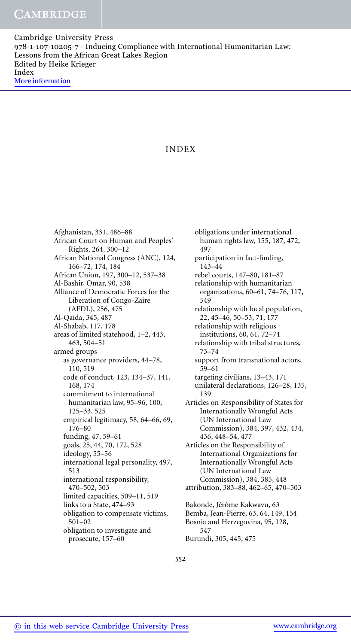# INDEX

Afghanistan, 331, 486–88 African Court on Human and Peoples' Rights, 264, 300–12 African National Congress (ANC), 124, 166–72, 174, 184 African Union, 197, 300–12, 537–38 Al-Bashir, Omar, 90, 538 Alliance of Democratic Forces for the Liberation of Congo-Zaire (AFDL), 256, 475 Al-Qaida, 345, 487 Al-Shabab, 117, 178 areas of limited statehood, 1–2, 443, 463, 504–51 armed groups as governance providers, 44–78, 110, 519 code of conduct, 123, 134–37, 141, 168, 174 commitment to international humanitarian law, 95–96, 100, 125–33, 525 empirical legitimacy, 58, 64–66, 69, 176–80 funding, 47, 59–61 goals, 25, 44, 70, 172, 528 ideology, 55–56 international legal personality, 497, 513 international responsibility, 470–502, 503 limited capacities, 509–11, 519 links to a State, 474–93 obligation to compensate victims, 501–02 obligation to investigate and prosecute, 157–60

obligations under international human rights law, 155, 187, 472, 497 participation in fact-finding, 143–44 rebel courts, 147–80, 181–87 relationship with humanitarian organizations, 60–61, 74–76, 117, 549 relationship with local population, 22, 45–46, 50–53, 71, 177 relationship with religious institutions, 60, 61, 72–74 relationship with tribal structures, 73–74 support from transnational actors, 59–61 targeting civilians, 13–43, 171 unilateral declarations, 126–28, 135, 139 Articles on Responsibility of States for Internationally Wrongful Acts (UN International Law Commission), 384, 397, 432, 434, 436, 448–54, 477 Articles on the Responsibility of International Organizations for Internationally Wrongful Acts (UN International Law Commission), 384, 385, 448 attribution, 383–88, 462–65, 470–503 Bakonde, Jérôme Kakwavu, 63 Bemba, Jean-Pierre, 63, 64, 149, 154 Bosnia and Herzegovina, 95, 128, 547 Burundi, 305, 445, 475

552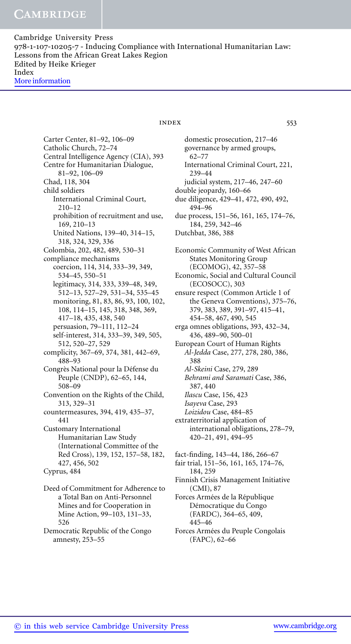> Carter Center, 81–92, 106–09 Catholic Church, 72–74 Central Intelligence Agency (CIA), 393 Centre for Humanitarian Dialogue, 81–92, 106–09 Chad, 118, 304 child soldiers International Criminal Court, 210–12 prohibition of recruitment and use, 169, 210–13 United Nations, 139–40, 314–15, 318, 324, 329, 336 Colombia, 202, 482, 489, 530–31 compliance mechanisms coercion, 114, 314, 333–39, 349, 534–45, 550–51 legitimacy, 314, 333, 339–48, 349, 512–13, 527–29, 531–34, 535–45 monitoring, 81, 83, 86, 93, 100, 102, 108, 114–15, 145, 318, 348, 369, 417–18, 435, 438, 540 persuasion, 79–111, 112–24 self-interest, 314, 333–39, 349, 505, 512, 520–27, 529 complicity, 367–69, 374, 381, 442–69, 488–93 Congrès National pour la Défense du Peuple (CNDP), 62–65, 144, 508–09 Convention on the Rights of the Child, 313, 329–31 countermeasures, 394, 419, 435–37, 441 Customary International Humanitarian Law Study (International Committee of the Red Cross), 139, 152, 157–58, 182, 427, 456, 502 Cyprus, 484 Deed of Commitment for Adherence to a Total Ban on Anti-Personnel Mines and for Cooperation in Mine Action, 99–103, 131–33, 526

Democratic Republic of the Congo amnesty, 253–55

index 553

domestic prosecution, 217–46 governance by armed groups, 62–77 International Criminal Court, 221, 239–44 judicial system, 217–46, 247–60 double jeopardy, 160–66 due diligence, 429–41, 472, 490, 492, 494–96 due process, 151–56, 161, 165, 174–76, 184, 259, 342–46 Dutchbat, 386, 388 Economic Community of West African States Monitoring Group (ECOMOG), 42, 357–58 Economic, Social and Cultural Council (ECOSOCC), 303 ensure respect (Common Article 1 of the Geneva Conventions), 375–76, 379, 383, 389, 391–97, 415–41, 454–58, 467, 490, 545 erga omnes obligations, 393, 432–34, 436, 489–90, 500–01 European Court of Human Rights *Al-Jedda* Case, 277, 278, 280, 386, 388 *Al-Skeini* Case, 279, 289 *Behrami and Saramati* Case, 386, 387, 440 *Ilascu* Case, 156, 423 *Isayeva* Case, 293 *Loizidou* Case, 484–85 extraterritorial application of international obligations, 278–79, 420–21, 491, 494–95

fact-finding, 143–44, 186, 266–67

- fair trial, 151–56, 161, 165, 174–76, 184, 259
- Finnish Crisis Management Initiative (CMI), 87
- Forces Armées de la République Démocratique du Congo (FARDC), 364–65, 409, 445–46
- Forces Armées du Peuple Congolais (FAPC), 62–66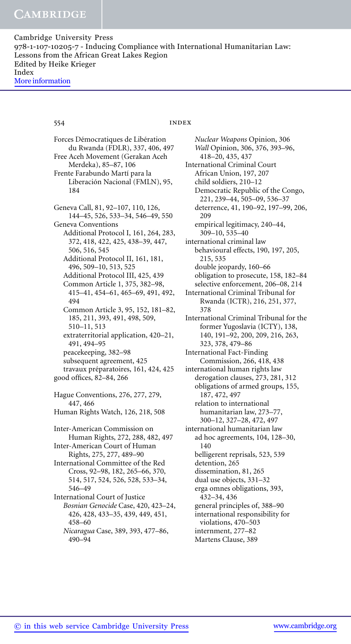### 554 **index**

Forces Démocratiques de Libération du Rwanda (FDLR), 337, 406, 497 Free Aceh Movement (Gerakan Aceh Merdeka), 85–87, 106 Frente Farabundo Martí para la Liberación Nacional (FMLN), 95, 184 Geneva Call, 81, 92–107, 110, 126, 144–45, 526, 533–34, 546–49, 550 Geneva Conventions Additional Protocol I, 161, 264, 283, 372, 418, 422, 425, 438–39, 447, 506, 516, 545 Additional Protocol II, 161, 181, 496, 509–10, 513, 525 Additional Protocol III, 425, 439 Common Article 1, 375, 382–98, 415–41, 454–61, 465–69, 491, 492, 494 Common Article 3, 95, 152, 181–82, 185, 211, 393, 491, 498, 509, 510–11, 513 extraterritorial application, 420–21, 491, 494–95 peacekeeping, 382–98 subsequent agreement, 425 travaux préparatoires, 161, 424, 425 good offices, 82–84, 266 Hague Conventions, 276, 277, 279, 447, 466 Human Rights Watch, 126, 218, 508 Inter-American Commission on Human Rights, 272, 288, 482, 497 Inter-American Court of Human Rights, 275, 277, 489–90 International Committee of the Red Cross, 92–98, 182, 265–66, 370, 514, 517, 524, 526, 528, 533–34, 546–49 International Court of Justice *Bosnian Genocide* Case, 420, 423–24, 426, 428, 433–35, 439, 449, 451, 458–60 *Nicaragua* Case, 389, 393, 477–86, 490–94

*Nuclear Weapons* Opinion, 306 *Wall* Opinion, 306, 376, 393–96, 418–20, 435, 437 International Criminal Court African Union, 197, 207 child soldiers, 210–12 Democratic Republic of the Congo, 221, 239–44, 505–09, 536–37 deterrence, 41, 190–92, 197–99, 206, 209 empirical legitimacy, 240–44, 309–10, 535–40 international criminal law behavioural effects, 190, 197, 205, 215, 535 double jeopardy, 160–66 obligation to prosecute, 158, 182–84 selective enforcement, 206–08, 214 International Criminal Tribunal for Rwanda (ICTR), 216, 251, 377, 378 International Criminal Tribunal for the former Yugoslavia (ICTY), 138, 140, 191–92, 200, 209, 216, 263, 323, 378, 479–86 International Fact-Finding Commission, 266, 418, 438 international human rights law derogation clauses, 273, 281, 312 obligations of armed groups, 155, 187, 472, 497 relation to international humanitarian law, 273–77, 300–12, 327–28, 472, 497 international humanitarian law ad hoc agreements, 104, 128–30, 140 belligerent reprisals, 523, 539 detention, 265 dissemination, 81, 265 dual use objects, 331–32 erga omnes obligations, 393, 432–34, 436 general principles of, 388–90 international responsibility for violations, 470–503 internment, 277–82 Martens Clause, 389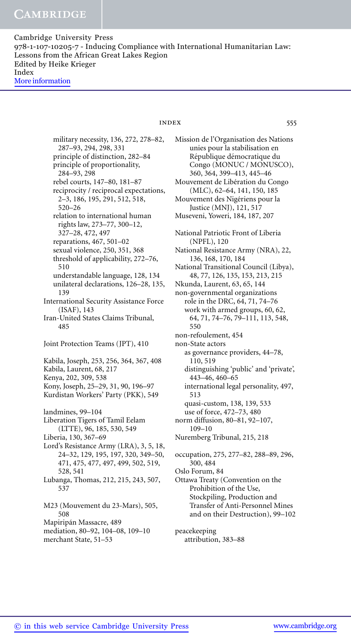> military necessity, 136, 272, 278–82, 287–93, 294, 298, 331 principle of distinction, 282–84 principle of proportionality, 284–93, 298 rebel courts, 147–80, 181–87 reciprocity / reciprocal expectations, 2–3, 186, 195, 291, 512, 518, 520–26 relation to international human rights law, 273–77, 300–12, 327–28, 472, 497 reparations, 467, 501–02 sexual violence, 250, 351, 368 threshold of applicability, 272–76, 510 understandable language, 128, 134 unilateral declarations, 126–28, 135, 139 International Security Assistance Force (ISAF), 143 Iran-United States Claims Tribunal, 485 Joint Protection Teams (JPT), 410 Kabila, Joseph, 253, 256, 364, 367, 408 Kabila, Laurent, 68, 217 Kenya, 202, 309, 538 Kony, Joseph, 25–29, 31, 90, 196–97 Kurdistan Workers' Party (PKK), 549 landmines, 99–104 Liberation Tigers of Tamil Eelam (LTTE), 96, 185, 530, 549 Liberia, 130, 367–69 Lord's Resistance Army (LRA), 3, 5, 18, 24–32, 129, 195, 197, 320, 349–50, 471, 475, 477, 497, 499, 502, 519, 528, 541 Lubanga, Thomas, 212, 215, 243, 507, 537 M23 (Mouvement du 23-Mars), 505, 508 Mapiripán Massacre, 489

mediation, 80–92, 104–08, 109–10 merchant State, 51–53

## index 555

Mission de l'Organisation des Nations unies pour la stabilisation en République démocratique du Congo (MONUC / MONUSCO), 360, 364, 399–413, 445–46 Mouvement de Libération du Congo (MLC), 62–64, 141, 150, 185 Mouvement des Nigériens pour la Justice (MNJ), 121, 517 Museveni, Yoweri, 184, 187, 207 National Patriotic Front of Liberia (NPFL), 120 National Resistance Army (NRA), 22, 136, 168, 170, 184 National Transitional Council (Libya), 48, 77, 126, 135, 153, 213, 215 Nkunda, Laurent, 63, 65, 144 non-governmental organizations role in the DRC, 64, 71, 74–76 work with armed groups, 60, 62, 64, 71, 74–76, 79–111, 113, 548, 550 non-refoulement, 454 non-State actors as governance providers, 44–78, 110, 519 distinguishing 'public' and 'private', 443–46, 460–65 international legal personality, 497, 513 quasi-custom, 138, 139, 533 use of force, 472–73, 480 norm diffusion, 80–81, 92–107, 109–10 Nuremberg Tribunal, 215, 218 occupation, 275, 277–82, 288–89, 296, 300, 484 Oslo Forum, 84 Ottawa Treaty (Convention on the Prohibition of the Use, Stockpiling, Production and

peacekeeping attribution, 383–88

Transfer of Anti-Personnel Mines and on their Destruction), 99–102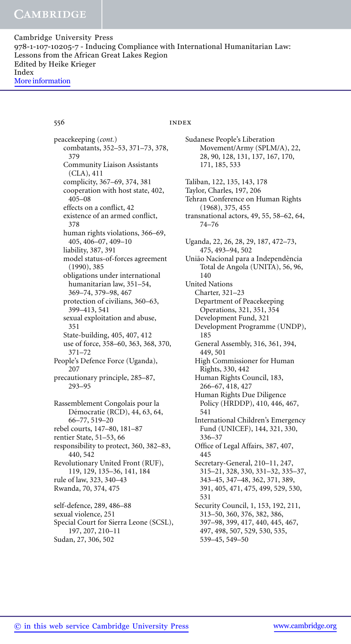556 index

Sudanese People's Liberation

Movement/Army (SPLM/A), 22,

peacekeeping (*cont.*) combatants, 352–53, 371–73, 378, 379 Community Liaison Assistants (CLA), 411 complicity, 367–69, 374, 381 cooperation with host state, 402, 405–08 effects on a conflict, 42 existence of an armed conflict, 378 human rights violations, 366–69, 405, 406–07, 409–10 liability, 387, 391 model status-of-forces agreement (1990), 385 obligations under international humanitarian law, 351–54, 369–74, 379–98, 467 protection of civilians, 360–63, 399–413, 541 sexual exploitation and abuse, 351 State-building, 405, 407, 412 use of force, 358–60, 363, 368, 370, 371–72 People's Defence Force (Uganda), 207 precautionary principle, 285–87, 293–95 Rassemblement Congolais pour la Démocratie (RCD), 44, 63, 64, 66–77, 519–20 rebel courts, 147–80, 181–87 rentier State, 51–53, 66 responsibility to protect, 360, 382–83, 440, 542 Revolutionary United Front (RUF), 119, 129, 135–36, 141, 184 rule of law, 323, 340–43 Rwanda, 70, 374, 475 self-defence, 289, 486–88 sexual violence, 251 Special Court for Sierra Leone (SCSL), 197, 207, 210–11

28, 90, 128, 131, 137, 167, 170, 171, 185, 533 Taliban, 122, 135, 143, 178 Taylor, Charles, 197, 206 Tehran Conference on Human Rights (1968), 375, 455 transnational actors, 49, 55, 58–62, 64, 74–76 Uganda, 22, 26, 28, 29, 187, 472–73, 475, 493–94, 502 União Nacional para a Independência Total de Angola (UNITA), 56, 96, 140 United Nations Charter, 321–23 Department of Peacekeeping Operations, 321, 351, 354 Development Fund, 321 Development Programme (UNDP), 185 General Assembly, 316, 361, 394, 449, 501 High Commissioner for Human Rights, 330, 442 Human Rights Council, 183, 266–67, 418, 427 Human Rights Due Diligence Policy (HRDDP), 410, 446, 467, 541 International Children's Emergency Fund (UNICEF), 144, 321, 330, 336–37 Office of Legal Affairs, 387, 407, 445 Secretary-General, 210–11, 247, 315–21, 328, 330, 331–32, 335–37, 343–45, 347–48, 362, 371, 389, 391, 405, 471, 475, 499, 529, 530, 531 Security Council, 1, 153, 192, 211, 313–50, 360, 376, 382, 386, 397–98, 399, 417, 440, 445, 467, 497, 498, 507, 529, 530, 535, 539–45, 549–50

Sudan, 27, 306, 502